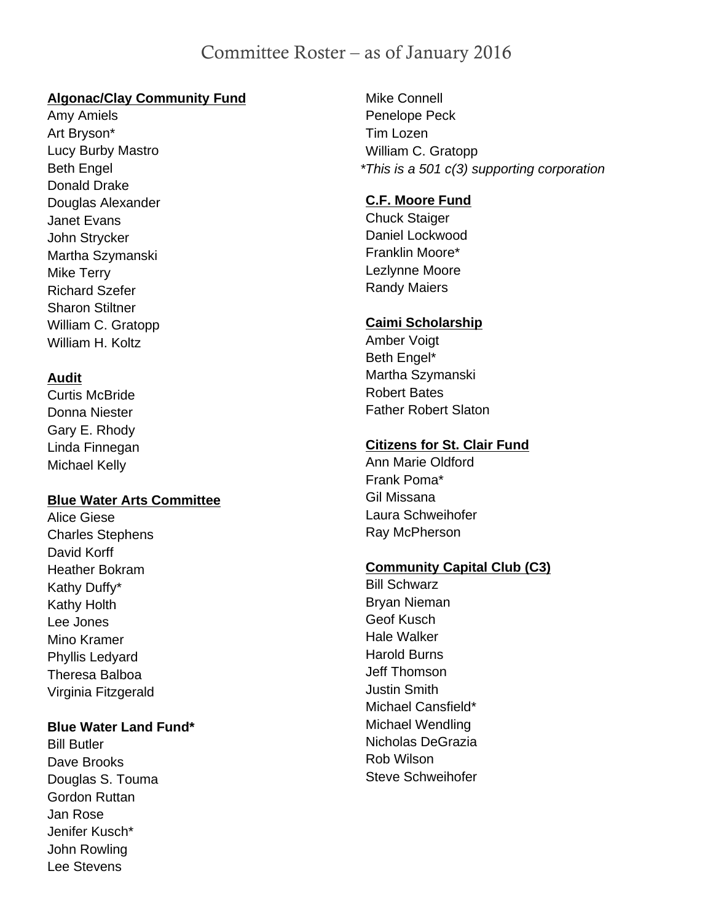# Committee Roster – as of January 2016

#### **Algonac/Clay Community Fund**

Amy Amiels Art Bryson\* Lucy Burby Mastro Beth Engel Donald Drake Douglas Alexander Janet Evans John Strycker Martha Szymanski Mike Terry Richard Szefer Sharon Stiltner William C. Gratopp William H. Koltz

## **Audit**

Curtis McBride Donna Niester Gary E. Rhody Linda Finnegan Michael Kelly

#### **Blue Water Arts Committee**

Alice Giese Charles Stephens David Korff Heather Bokram Kathy Duffy\* Kathy Holth Lee Jones Mino Kramer Phyllis Ledyard Theresa Balboa Virginia Fitzgerald

#### **Blue Water Land Fund\***

Bill Butler Dave Brooks Douglas S. Touma Gordon Ruttan Jan Rose Jenifer Kusch\* John Rowling Lee Stevens

Mike Connell Penelope Peck Tim Lozen William C. Gratopp *\*This is a 501 c(3) supporting corporation*

## **C.F. Moore Fund**

Chuck Staiger Daniel Lockwood Franklin Moore\* Lezlynne Moore Randy Maiers

#### **Caimi Scholarship**

Amber Voigt Beth Engel\* Martha Szymanski Robert Bates Father Robert Slaton

# **Citizens for St. Clair Fund**

Ann Marie Oldford Frank Poma\* Gil Missana Laura Schweihofer Ray McPherson

#### **Community Capital Club (C3)**

Bill Schwarz Bryan Nieman Geof Kusch Hale Walker Harold Burns Jeff Thomson Justin Smith Michael Cansfield\* Michael Wendling Nicholas DeGrazia Rob Wilson Steve Schweihofer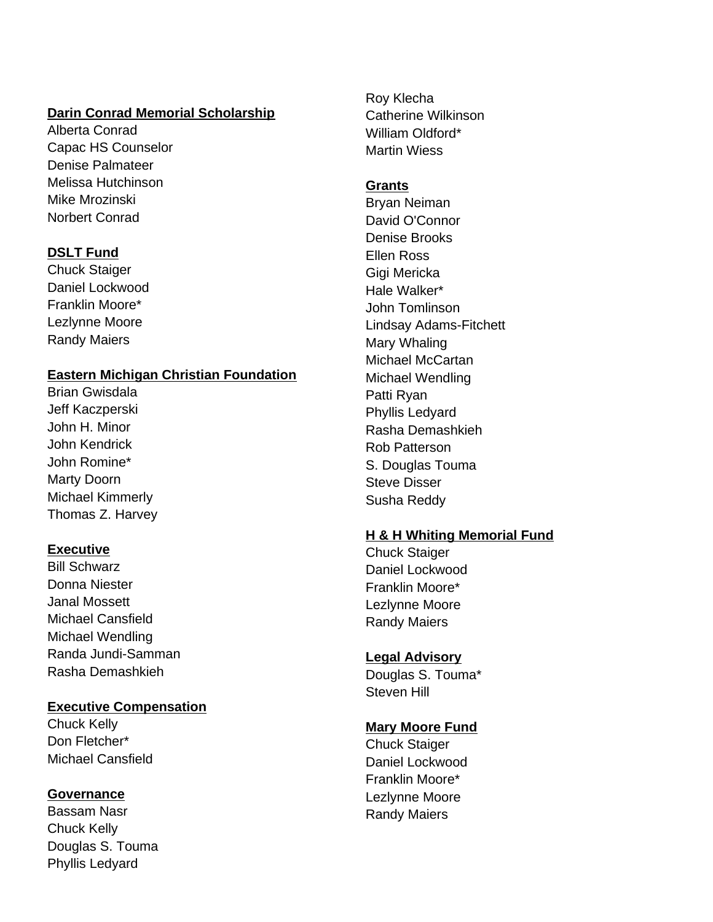### **Darin Conrad Memorial Scholarship**

Alberta Conrad Capac HS Counselor Denise Palmateer Melissa Hutchinson Mike Mrozinski Norbert Conrad

## **DSLT Fund**

Chuck Staiger Daniel Lockwood Franklin Moore\* Lezlynne Moore Randy Maiers

## **Eastern Michigan Christian Foundation**

Brian Gwisdala Jeff Kaczperski John H. Minor John Kendrick John Romine\* Marty Doorn Michael Kimmerly Thomas Z. Harvey

# **Executive**

Bill Schwarz Donna Niester Janal Mossett Michael Cansfield Michael Wendling Randa Jundi-Samman Rasha Demashkieh

#### **Executive Compensation**

Chuck Kelly Don Fletcher\* Michael Cansfield

#### **Governance**

Bassam Nasr Chuck Kelly Douglas S. Touma Phyllis Ledyard

Roy Klecha Catherine Wilkinson William Oldford\* Martin Wiess

#### **Grants**

Bryan Neiman David O'Connor Denise Brooks Ellen Ross Gigi Mericka Hale Walker\* John Tomlinson Lindsay Adams-Fitchett Mary Whaling Michael McCartan Michael Wendling Patti Ryan Phyllis Ledyard Rasha Demashkieh Rob Patterson S. Douglas Touma Steve Disser Susha Reddy

# **H & H Whiting Memorial Fund**

Chuck Staiger Daniel Lockwood Franklin Moore\* Lezlynne Moore Randy Maiers

#### **Legal Advisory**

Douglas S. Touma\* Steven Hill

#### **Mary Moore Fund**

Chuck Staiger Daniel Lockwood Franklin Moore\* Lezlynne Moore Randy Maiers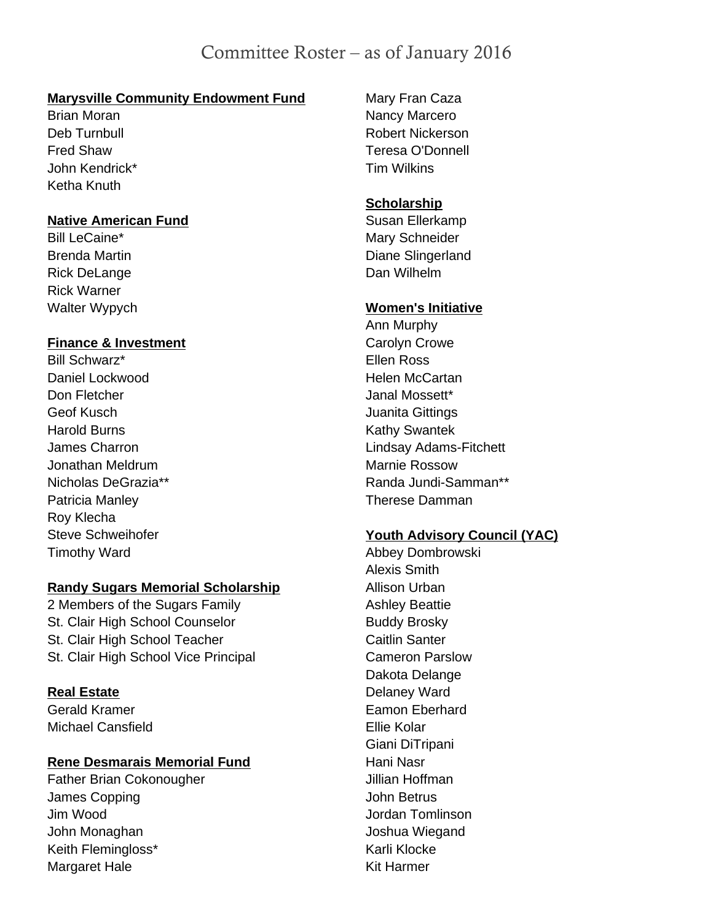# Committee Roster – as of January 2016

#### **Marysville Community Endowment Fund**

Brian Moran Deb Turnbull Fred Shaw John Kendrick\* Ketha Knuth

#### **Native American Fund**

Bill LeCaine\* Brenda Martin Rick DeLange Rick Warner Walter Wypych

#### **Finance & Investment**

Bill Schwarz\* Daniel Lockwood Don Fletcher Geof Kusch Harold Burns James Charron Jonathan Meldrum Nicholas DeGrazia\*\* Patricia Manley Roy Klecha Steve Schweihofer Timothy Ward

#### **Randy Sugars Memorial Scholarship**

2 Members of the Sugars Family St. Clair High School Counselor St. Clair High School Teacher St. Clair High School Vice Principal

#### **Real Estate**

Gerald Kramer Michael Cansfield

#### **Rene Desmarais Memorial Fund**

Father Brian Cokonougher James Copping Jim Wood John Monaghan Keith Flemingloss\* Margaret Hale

Mary Fran Caza Nancy Marcero Robert Nickerson Teresa O'Donnell Tim Wilkins

#### **Scholarship**

Susan Ellerkamp Mary Schneider Diane Slingerland Dan Wilhelm

#### **Women's Initiative**

Ann Murphy Carolyn Crowe Ellen Ross Helen McCartan Janal Mossett\* Juanita Gittings Kathy Swantek Lindsay Adams-Fitchett Marnie Rossow Randa Jundi-Samman\*\* Therese Damman

# **Youth Advisory Council (YAC)**

Abbey Dombrowski Alexis Smith Allison Urban Ashley Beattie Buddy Brosky Caitlin Santer Cameron Parslow Dakota Delange Delaney Ward Eamon Eberhard Ellie Kolar Giani DiTripani Hani Nasr Jillian Hoffman John Betrus Jordan Tomlinson Joshua Wiegand Karli Klocke Kit Harmer